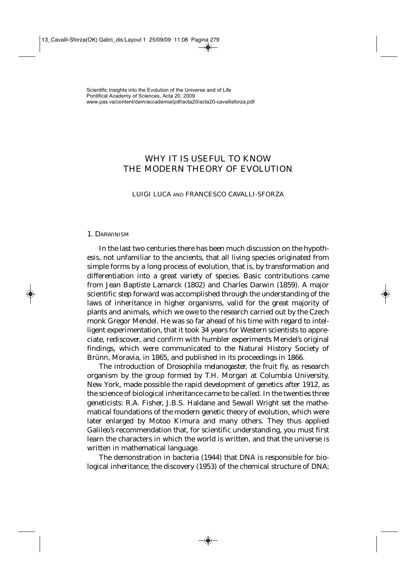# WHY IT IS USEFUL TO KNOW THE MODERN THEORY OF EVOLUTION

### LUIGI LUCA AND FRANCESCO CAVALLI-SFORZA

### 1. DARWINISM

In the last two centuries there has been much discussion on the hypothesis, not unfamiliar to the ancients, that all living species originated from simple forms by a long process of evolution, that is, by transformation and differentiation into a great variety of species. Basic contributions came from Jean Baptiste Lamarck (1802) and Charles Darwin (1859). A major scientific step forward was accomplished through the understanding of the laws of inheritance in higher organisms, valid for the great majority of plants and animals, which we owe to the research carried out by the Czech monk Gregor Mendel. He was so far ahead of his time with regard to intelligent experimentation, that it took 34 years for Western scientists to appreciate, rediscover, and confirm with humbler experiments Mendel's original findings, which were communicated to the Natural History Society of Brünn, Moravia, in 1865, and published in its proceedings in 1866.

The introduction of *Drosophila melanogaster,* the fruit fly, as research organism by the group formed by T.H. Morgan at Columbia University, New York, made possible the rapid development of genetics after 1912, as the science of biological inheritance came to be called. In the twenties three geneticists: R.A. Fisher, J.B.S. Haldane and Sewall Wright set the mathematical foundations of the modern genetic theory of evolution, which were later enlarged by Motoo Kimura and many others. They thus applied Galileo's recommendation that, for scientific understanding, you must first learn the characters in which the world is written, and that the universe is written in mathematical language.

The demonstration in bacteria (1944) that DNA is responsible for biological inheritance; the discovery (1953) of the chemical structure of DNA;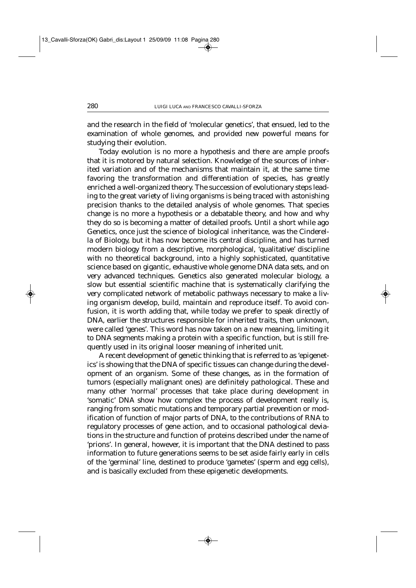and the research in the field of 'molecular genetics', that ensued, led to the examination of whole genomes, and provided new powerful means for studying their evolution.

Today evolution is no more a hypothesis and there are ample proofs that it is motored by natural selection. Knowledge of the sources of inherited variation and of the mechanisms that maintain it, at the same time favoring the transformation and differentiation of species, has greatly enriched a well-organized theory. The succession of evolutionary steps leading to the great variety of living organisms is being traced with astonishing precision thanks to the detailed analysis of whole genomes. That species change is no more a hypothesis or a debatable theory, and how and why they do so is becoming a matter of detailed proofs. Until a short while ago Genetics, once just the science of biological inheritance, was the Cinderella of Biology, but it has now become its central discipline, and has turned modern biology from a descriptive, morphological, 'qualitative' discipline with no theoretical background, into a highly sophisticated, quantitative science based on gigantic, exhaustive whole genome DNA data sets, and on very advanced techniques. Genetics also generated molecular biology, a slow but essential scientific machine that is systematically clarifying the very complicated network of metabolic pathways necessary to make a living organism develop, build, maintain and reproduce itself. To avoid confusion, it is worth adding that, while today we prefer to speak directly of DNA, earlier the structures responsible for inherited traits, then unknown, were called 'genes'. This word has now taken on a new meaning, limiting it to DNA segments making a protein with a specific function, but is still frequently used in its original looser meaning of inherited unit.

A recent development of genetic thinking that is referred to as 'epigenetics' is showing that the DNA of specific tissues can change during the development of an organism. Some of these changes, as in the formation of tumors (especially malignant ones) are definitely pathological. These and many other 'normal' processes that take place during development in 'somatic' DNA show how complex the process of development really is, ranging from somatic mutations and temporary partial prevention or modification of function of major parts of DNA, to the contributions of RNA to regulatory processes of gene action, and to occasional pathological deviations in the structure and function of proteins described under the name of 'prions'. In general, however, it is important that the DNA destined to pass information to future generations seems to be set aside fairly early in cells of the 'germinal' line, destined to produce 'gametes' (sperm and egg cells), and is basically excluded from these epigenetic developments.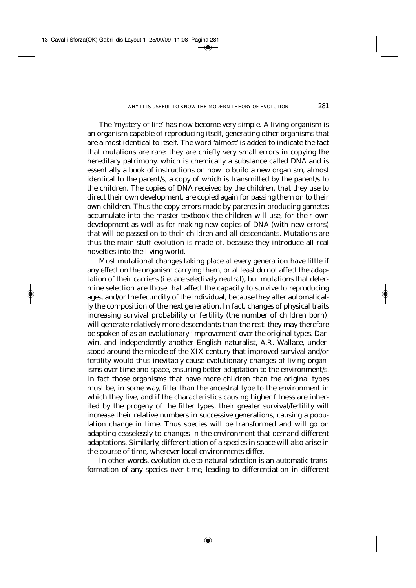The 'mystery of life' has now become very simple. A living organism is an organism capable of reproducing itself, generating other organisms that are almost identical to itself. The word 'almost' is added to indicate the fact that mutations are rare: they are chiefly very small errors in copying the hereditary patrimony, which is chemically a substance called DNA and is essentially a book of instructions on how to build a new organism, almost identical to the parent/s, a copy of which is transmitted by the parent/s to the children. The copies of DNA received by the children, that they use to direct their own development, are copied again for passing them on to their own children. Thus the copy errors made by parents in producing gametes accumulate into the master textbook the children will use, for their own development as well as for making new copies of DNA (with new errors) that will be passed on to their children and all descendants. Mutations are thus the main stuff evolution is made of, because they introduce all real novelties into the living world.

Most mutational changes taking place at every generation have little if any effect on the organism carrying them, or at least do not affect the adaptation of their carriers (i.e. are *selectively neutral*), but mutations that determine selection are those that affect the capacity to survive to reproducing ages, and/or the fecundity of the individual, because they alter automatically the composition of the next generation. In fact, changes of physical traits increasing survival probability or fertility (the number of children born), will generate relatively more descendants than the rest: they may therefore be spoken of as an evolutionary 'improvement' over the original types. Darwin, and independently another English naturalist, A.R. Wallace, understood around the middle of the XIX century that improved survival and/or fertility would thus *inevitably* cause evolutionary changes of living organisms over time and space, ensuring better adaptation to the environment/s. In fact those organisms that have more children than the original types must be, in some way, *fitter* than the ancestral type to the environment in which they live, and *if* the characteristics causing higher fitness are inherited by the progeny of the fitter types, their greater survival/fertility will increase their relative numbers in successive generations, causing a population change in time. Thus species will be transformed and will go on adapting ceaselessly to changes in the environment that demand different adaptations. Similarly, differentiation of a species in space will also arise in the course of time, wherever local environments differ.

In other words, *evolution due to natural selection is an automatic transformation of any species over time*, leading to differentiation in different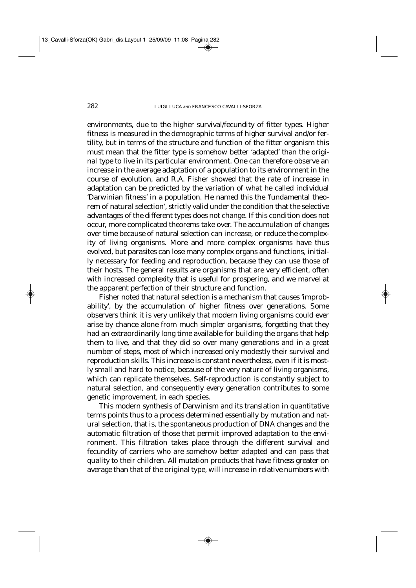environments, due to the higher survival/fecundity of fitter types. Higher fitness is measured in the demographic terms of higher survival and/or fertility, but in terms of the structure and function of the fitter organism this must mean that the fitter type is somehow better 'adapted' than the original type to live in its particular environment. One can therefore observe an increase in the average adaptation of a population to its environment in the course of evolution, and R.A. Fisher showed that the rate of increase in adaptation can be predicted by the variation of what he called individual 'Darwinian fitness' in a population. He named this the 'fundamental theorem of natural selection', strictly valid under the condition that the selective advantages of the different types does not change. If this condition does not occur, more complicated theorems take over. The accumulation of changes over time because of natural selection can increase, or reduce the complexity of living organisms. More and more complex organisms have thus evolved, but parasites can lose many complex organs and functions, initially necessary for feeding and reproduction, because they can use those of their hosts. The general results are organisms that are very efficient, often with increased complexity that is useful for prospering, and we marvel at the apparent perfection of their structure and function.

Fisher noted that natural selection is a mechanism that causes 'improbability', by the accumulation of higher fitness over generations. Some observers think it is very unlikely that modern living organisms could ever arise by chance alone from much simpler organisms, forgetting that they had an extraordinarily long time available for building the organs that help them to live, and that they did so over many generations and in a great number of steps, most of which increased only modestly their survival and reproduction skills. This increase is constant nevertheless, even if it is mostly small and hard to notice, because of the very nature of living organisms, which can replicate themselves. Self-reproduction is constantly subject to natural selection, and consequently every generation contributes to some genetic improvement, in each species.

This modern synthesis of Darwinism and its translation in quantitative terms points thus to a process determined essentially by mutation and natural selection, that is, the spontaneous production of DNA changes and the automatic filtration of those that permit improved adaptation to the environment. This filtration takes place through the different survival and fecundity of carriers who are somehow better adapted and can pass that quality to their children. All mutation products that have fitness greater on average than that of the original type, will increase in relative numbers with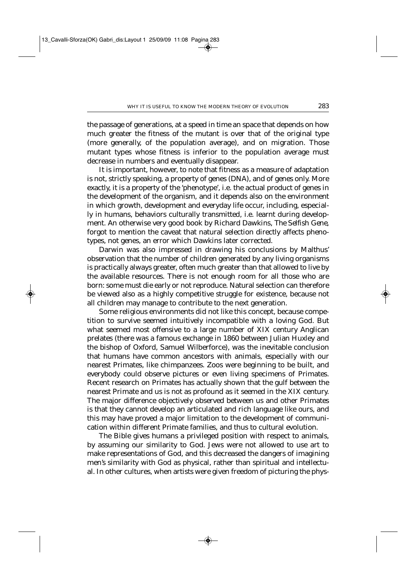the passage of generations, at a speed in time an space that depends on how much greater the fitness of the mutant is over that of the original type (more generally, of the population average), and on migration. Those mutant types whose fitness is inferior to the population average must decrease in numbers and eventually disappear.

It is important, however, to note that fitness as a measure of adaptation is not, strictly speaking, a property of genes (DNA), and of genes only. More exactly, it is a property of the 'phenotype', i.e. the actual product of genes in the development of the organism, and it depends also on the environment in which growth, development and everyday life occur, including, especially in humans, behaviors culturally transmitted, i.e. learnt during development. An otherwise very good book by Richard Dawkins, *The Selfish Gene*, forgot to mention the caveat that natural selection directly affects phenotypes, not genes, an error which Dawkins later corrected.

Darwin was also impressed in drawing his conclusions by Malthus' observation that the number of children generated by any living organisms is practically always greater, often much greater than that allowed to live by the available resources. There is not enough room for all those who are born: some must die early or not reproduce. Natural selection can therefore be viewed also as a highly competitive struggle for existence, because not all children may manage to contribute to the next generation.

Some religious environments did not like this concept, because competition to survive seemed intuitively incompatible with a loving God. But what seemed most offensive to a large number of XIX century Anglican prelates (there was a famous exchange in 1860 between Julian Huxley and the bishop of Oxford, Samuel Wilberforce), was the inevitable conclusion that humans have common ancestors with animals, especially with our nearest Primates, like chimpanzees. Zoos were beginning to be built, and everybody could observe pictures or even living specimens of Primates. Recent research on Primates has actually shown that the gulf between the nearest Primate and us is not as profound as it seemed in the XIX century. The major difference objectively observed between us and other Primates is that they cannot develop an articulated and rich language like ours, and this may have proved a major limitation to the development of communication within different Primate families, and thus to cultural evolution.

The Bible gives humans a privileged position with respect to animals, by assuming our similarity to God. Jews were not allowed to use art to make representations of God, and this decreased the dangers of imagining men's similarity with God as physical, rather than spiritual and intellectual. In other cultures, when artists were given freedom of picturing the phys-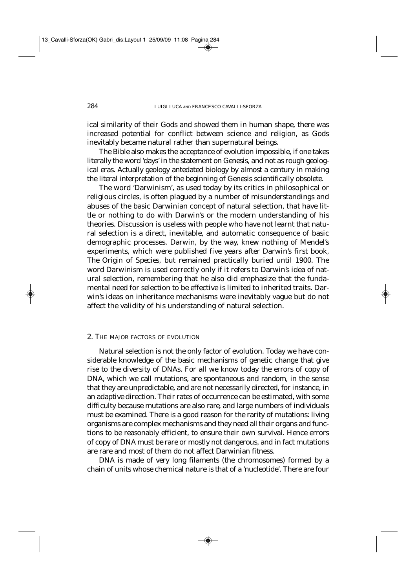ical similarity of their Gods and showed them in human shape, there was increased potential for conflict between science and religion, as Gods inevitably became natural rather than supernatural beings.

The Bible also makes the acceptance of evolution impossible, if one takes literally the word 'days' in the statement on Genesis, and not as rough geological eras. Actually geology antedated biology by almost a century in making the literal interpretation of the beginning of Genesis scientifically obsolete.

The word 'Darwinism', as used today by its critics in philosophical or religious circles, is often plagued by a number of misunderstandings and abuses of the basic Darwinian concept of natural selection, that have little or nothing to do with Darwin's or the modern understanding of his theories. Discussion is useless with people who have not learnt that natural selection is a direct, inevitable, and automatic consequence of basic demographic processes. Darwin, by the way, knew nothing of Mendel's experiments, which were published five years after Darwin's first book, *The Origin of Species*, but remained practically buried until 1900. The word Darwinism is used correctly only if it refers to Darwin's idea of natural selection, remembering that he also did emphasize that the fundamental need for selection to be effective is limited to inherited traits. Darwin's ideas on inheritance mechanisms were inevitably vague but do not affect the validity of his understanding of natural selection.

### 2. THE MAJOR FACTORS OF EVOLUTION

Natural selection is not the only factor of evolution. Today we have considerable knowledge of the basic mechanisms of genetic change that give rise to the diversity of DNAs. For all we know today the errors of copy of DNA, which we call mutations, are spontaneous and *random,* in the sense that they are unpredictable, and are not necessarily directed, for instance, in an adaptive direction. Their rates of occurrence can be estimated, with some difficulty because mutations are also *rare,* and large numbers of individuals must be examined*.* There is a good reason for the rarity of mutations: living organisms are complex mechanisms and they need *all* their organs and functions to be reasonably efficient, to ensure their own survival. Hence errors of copy of DNA must be rare or mostly not dangerous, and in fact mutations are rare and most of them do not affect Darwinian fitness.

DNA is made of very long filaments (the chromosomes) formed by a chain of units whose chemical nature is that of a 'nucleotide'. There are four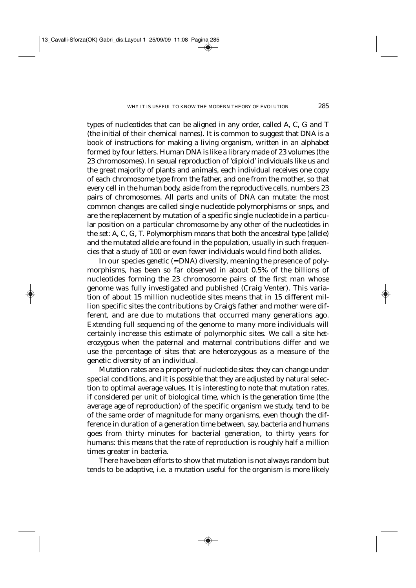types of nucleotides that can be aligned in any order, called A, C, G and T (the initial of their chemical names). It is common to suggest that DNA is a book of instructions for making a living organism, written in an alphabet formed by four letters. Human DNA is like a library made of 23 volumes (the 23 chromosomes). In sexual reproduction of 'diploid' individuals like us and the great majority of plants and animals, each individual receives one copy of each chromosome type from the father, and one from the mother, so that every cell in the human body, aside from the reproductive cells, numbers 23 *pairs* of chromosomes. All parts and units of DNA can mutate: the most common changes are called single nucleotide polymorphisms or *snps*, and are the replacement by mutation of a specific single nucleotide in a particular position on a particular chromosome by any other of the nucleotides in the set: A, C, G, T. *Polymorphism* means that both the ancestral type (allele) and the mutated allele are found in the population, usually in such frequencies that a study of 100 or even fewer individuals would find both alleles.

In our species *genetic* (= DNA) *diversity*, meaning the presence of polymorphisms, has been so far observed in about 0.5% of the billions of nucleotides forming the 23 chromosome pairs of the first man whose genome was fully investigated and published (Craig Venter). This variation of about 15 million nucleotide sites means that in 15 different million specific sites the contributions by Craig's father and mother were different, and are due to mutations that occurred many generations ago. Extending full sequencing of the genome to many more individuals will certainly increase this estimate of polymorphic sites. We call a site *heterozygous* when the paternal and maternal contributions differ and we use the percentage of sites that are heterozygous as a measure of the genetic diversity of an individual.

Mutation rates are a property of nucleotide sites: they can change under special conditions, and it is possible that they are adjusted by natural selection to optimal average values. It is interesting to note that mutation rates, if considered per unit of biological time, which is the generation time (the average age of reproduction) of the specific organism we study, tend to be of the same order of magnitude for many organisms, even though the difference in duration of a generation time between, say, bacteria and humans goes from thirty minutes for bacterial generation, to thirty years for humans: this means that the rate of reproduction is roughly half a million times greater in bacteria.

There have been efforts to show that mutation is not always random but tends to be adaptive, i.e. a mutation useful for the organism is more likely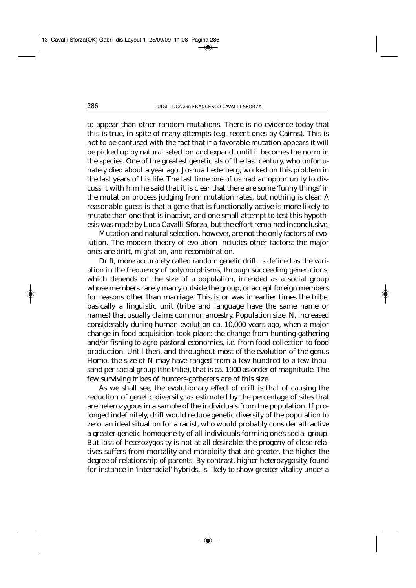to appear than other random mutations. There is no evidence today that this is true, in spite of many attempts (e.g. recent ones by Cairns). This is not to be confused with the fact that if a favorable mutation appears it will be picked up by natural selection and expand, until it becomes the norm in the species. One of the greatest geneticists of the last century, who unfortunately died about a year ago, Joshua Lederberg, worked on this problem in the last years of his life. The last time one of us had an opportunity to discuss it with him he said that it is clear that there are some 'funny things' in the mutation process judging from mutation rates, but nothing is clear. A reasonable guess is that a gene that is functionally active is more likely to mutate than one that is inactive, and one small attempt to test this hypothesis was made by Luca Cavalli-Sforza, but the effort remained inconclusive.

Mutation and natural selection, however, are not the only factors of evolution. The modern theory of evolution includes other factors: the major ones are drift, migration, and recombination.

*Drift*, more accurately called *random genetic drift*, is defined as the variation in the frequency of polymorphisms, through succeeding generations, which depends on the size of a population, intended as a social group whose members rarely marry outside the group, or accept foreign members for reasons other than marriage. This is or was in earlier times the tribe, basically a linguistic unit (tribe and language have the same name or names) that usually claims common ancestry. Population size, N, increased considerably during human evolution ca. 10,000 years ago, when a major change in food acquisition took place: the change from hunting-gathering and/or fishing to agro-pastoral economies, i.e. from food collection to food production. Until then, and throughout most of the evolution of the genus *Homo*, the size of N may have ranged from a few hundred to a few thousand per social group (the tribe), that is ca. 1000 as order of magnitude. The few surviving tribes of hunters-gatherers are of this size.

As we shall see, the evolutionary effect of drift is that of causing the reduction of genetic diversity, as estimated by the percentage of sites that are heterozygous in a sample of the individuals from the population. If prolonged indefinitely, drift would reduce genetic diversity of the population to zero, an ideal situation for a racist, who would probably consider attractive a greater genetic homogeneity of all individuals forming one's social group. But loss of heterozygosity is not at all desirable: the progeny of close relatives suffers from mortality and morbidity that are greater, the higher the degree of relationship of parents. By contrast, higher heterozygosity, found for instance in 'interracial' hybrids, is likely to show greater vitality under a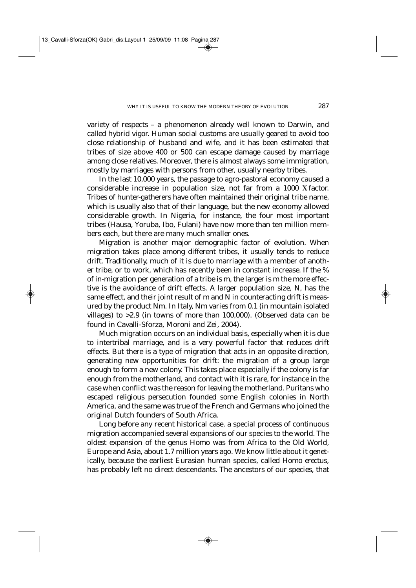variety of respects – a phenomenon already well known to Darwin, and called hybrid vigor. Human social customs are usually geared to avoid too close relationship of husband and wife, and it has been estimated that tribes of size above 400 or 500 can escape damage caused by marriage among close relatives. Moreover, there is almost always some immigration, mostly by marriages with persons from other, usually nearby tribes.

In the last 10,000 years, the passage to agro-pastoral economy caused a considerable increase in population size, not far from a 1000 X factor. Tribes of hunter-gatherers have often maintained their original tribe name, which is usually also that of their language, but the new economy allowed considerable growth. In Nigeria, for instance, the four most important tribes (Hausa, Yoruba, Ibo, Fulani) have now more than ten million members each, but there are many much smaller ones.

*Migration* is another major demographic factor of evolution. When migration takes place among different tribes, it usually tends to reduce drift. Traditionally, much of it is due to marriage with a member of another tribe, or to work, which has recently been in constant increase. If the % of in-migration per generation of a tribe is *m*, the larger is *m* the more effective is the avoidance of drift effects. A larger population size, *N*, has the same effect, and their joint result of *m* and *N* in counteracting drift is measured by the product *Nm*. In Italy, *Nm* varies from 0.1 (in mountain isolated villages) to >2.9 (in towns of more than 100,000). (Observed data can be found in Cavalli-Sforza, Moroni and Zei, 2004).

Much migration occurs on an individual basis, especially when it is due to intertribal marriage, and is a very powerful factor that reduces drift effects. But there is a type of migration that acts in an opposite direction, generating new opportunities for drift: the migration of a group large enough to form a new colony. This takes place especially if the colony is far enough from the motherland, and contact with it is rare, for instance in the case when conflict was the reason for leaving the motherland. Puritans who escaped religious persecution founded some English colonies in North America, and the same was true of the French and Germans who joined the original Dutch founders of South Africa.

Long before any recent historical case, a special process of continuous migration accompanied several expansions of our species to the world. The oldest expansion of the genus *Homo* was from Africa to the Old World, Europe and Asia, about 1.7 million years ago. We know little about it genetically, because the earliest Eurasian human species, called *Homo erectus*, has probably left no direct descendants. The ancestors of our species, that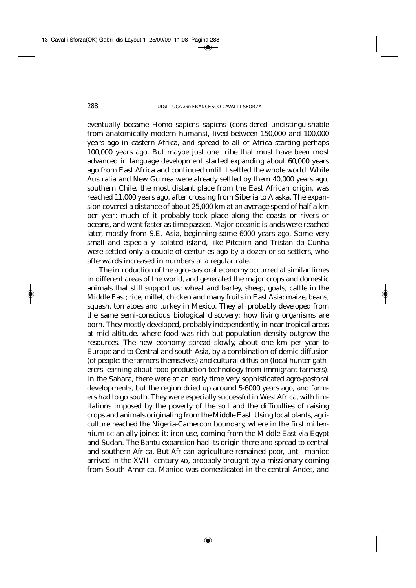eventually became *Homo sapiens sapiens* (considered undistinguishable from anatomically modern humans), lived between 150,000 and 100,000 years ago in eastern Africa, and spread to all of Africa starting perhaps 100,000 years ago. But maybe just one tribe that must have been most advanced in language development started expanding about 60,000 years ago from East Africa and continued until it settled the whole world. While Australia and New Guinea were already settled by them 40,000 years ago, southern Chile, the most distant place from the East African origin, was reached 11,000 years ago, after crossing from Siberia to Alaska. The expansion covered a distance of about 25,000 km at an average speed of half a km per year: much of it probably took place along the coasts or rivers or oceans, and went faster as time passed. Major oceanic islands were reached later, mostly from S.E. Asia, beginning some 6000 years ago. Some very small and especially isolated island, like Pitcairn and Tristan da Cunha were settled only a couple of centuries ago by a dozen or so settlers, who afterwards increased in numbers at a regular rate.

The introduction of the agro-pastoral economy occurred at similar times in different areas of the world, and generated the major crops and domestic animals that still support us: wheat and barley, sheep, goats, cattle in the Middle East; rice, millet, chicken and many fruits in East Asia; maize, beans, squash, tomatoes and turkey in Mexico. They all probably developed from the same semi-conscious biological discovery: how living organisms are born. They mostly developed, probably independently, in near-tropical areas at mid altitude, where food was rich but population density outgrew the resources. The new economy spread slowly, about one km per year to Europe and to Central and south Asia, by a combination of demic diffusion (of people: the farmers themselves) and cultural diffusion (local hunter-gatherers learning about food production technology from immigrant farmers). In the Sahara, there were at an early time very sophisticated agro-pastoral developments, but the region dried up around 5-6000 years ago, and farmers had to go south. They were especially successful in West Africa, with limitations imposed by the poverty of the soil and the difficulties of raising crops and animals originating from the Middle East. Using local plants, agriculture reached the Nigeria-Cameroon boundary, where in the first millennium BC an ally joined it: iron use, coming from the Middle East via Egypt and Sudan. The Bantu expansion had its origin there and spread to central and southern Africa. But African agriculture remained poor, until manioc arrived in the XVIII century AD, probably brought by a missionary coming from South America. Manioc was domesticated in the central Andes, and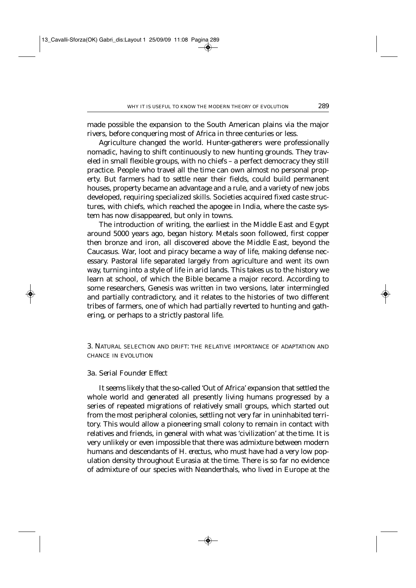made possible the expansion to the South American plains via the major rivers, before conquering most of Africa in three centuries or less.

Agriculture changed the world. Hunter-gatherers were professionally nomadic, having to shift continuously to new hunting grounds. They traveled in small flexible groups, with no chiefs – a perfect democracy they still practice. People who travel all the time can own almost no personal property. But farmers had to settle near their fields, could build permanent houses, property became an advantage and a rule, and a variety of new jobs developed, requiring specialized skills. Societies acquired fixed caste structures, with chiefs, which reached the apogee in India, where the caste system has now disappeared, but only in towns.

The introduction of writing, the earliest in the Middle East and Egypt around 5000 years ago, began history. Metals soon followed, first copper then bronze and iron, all discovered above the Middle East, beyond the Caucasus. War, loot and piracy became a way of life, making defense necessary. Pastoral life separated largely from agriculture and went its own way, turning into a style of life in arid lands. This takes us to the history we learn at school, of which the Bible became a major record. According to some researchers, Genesis was written in two versions, later intermingled and partially contradictory, and it relates to the histories of two different tribes of farmers, one of which had partially reverted to hunting and gathering, or perhaps to a strictly pastoral life.

3. NATURAL SELECTION AND DRIFT: THE RELATIVE IMPORTANCE OF ADAPTATION AND CHANCE IN EVOLUTION

# 3a*. Serial Founder Effect*

It seems likely that the so-called 'Out of Africa' expansion that settled the whole world and generated all presently living humans progressed by a series of repeated migrations of relatively small groups, which started out from the most peripheral colonies, settling not very far in uninhabited territory. This would allow a pioneering small colony to remain in contact with relatives and friends, in general with what was 'civilization' at the time. It is very unlikely or even impossible that there was admixture between modern humans and descendants of *H. erectus*, who must have had a very low population density throughout Eurasia at the time. There is so far no evidence of admixture of our species with Neanderthals, who lived in Europe at the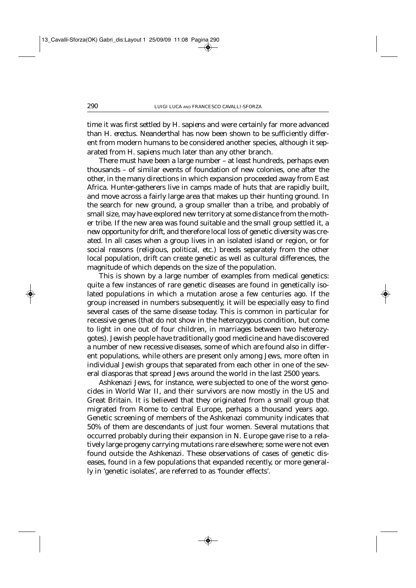time it was first settled by *H. sapiens* and were certainly far more advanced than *H. erectus*. Neanderthal has now been shown to be sufficiently different from modern humans to be considered another species, although it separated from *H. sapiens* much later than any other branch.

There must have been a large number – at least hundreds, perhaps even thousands – of similar events of foundation of new colonies, one after the other, in the many directions in which expansion proceeded away from East Africa. Hunter-gatherers live in camps made of huts that are rapidly built, and move across a fairly large area that makes up their hunting ground. In the search for new ground, a group smaller than a tribe, and probably of small size, may have explored new territory at some distance from the mother tribe. If the new area was found suitable and the small group settled it, *a new opportunity for drift*, and therefore local loss of genetic diversity was created. In all cases when a group lives in an isolated island or region, or for social reasons (religious, political, etc.) breeds separately from the other local population, drift can create genetic as well as cultural differences, the magnitude of which depends on the size of the population.

This is shown by a large number of examples from medical genetics: quite a few instances of rare genetic diseases are found in genetically isolated populations in which a mutation arose a few centuries ago. If the group increased in numbers subsequently, it will be especially easy to find several cases of the same disease today. This is common in particular for recessive genes (that do not show in the heterozygous condition, but come to light in one out of four children, in marriages between two heterozygotes). Jewish people have traditionally good medicine and have discovered a number of new recessive diseases, some of which are found also in different populations, while others are present only among Jews, more often in individual Jewish groups that separated from each other in one of the several diasporas that spread Jews around the world in the last 2500 years.

Ashkenazi Jews, for instance, were subjected to one of the worst genocides in World War II, and their survivors are now mostly in the US and Great Britain. It is believed that they originated from a small group that migrated from Rome to central Europe, perhaps a thousand years ago. Genetic screening of members of the Ashkenazi community indicates that 50% of them are descendants of just four women. Several mutations that occurred probably during their expansion in N. Europe gave rise to a relatively large progeny carrying mutations rare elsewhere; some were not even found outside the Ashkenazi. These observations of cases of genetic diseases, found in a few populations that expanded recently, or more generally in 'genetic isolates', are referred to as 'founder effects'.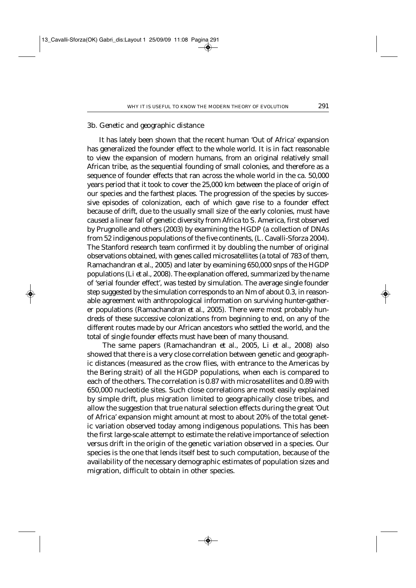### 3b. *Genetic and geographic distance*

It has lately been shown that the recent human 'Out of Africa' expansion has generalized the founder effect to the whole world. It is in fact reasonable to view the expansion of modern humans, from an original relatively small African tribe, as the sequential founding of small colonies, and therefore as a sequence of founder effects that ran across the whole world in the ca. 50,000 years period that it took to cover the 25,000 km between the place of origin of our species and the farthest places. The progression of the species by successive episodes of colonization, each of which gave rise to a founder effect because of drift, due to the usually small size of the early colonies, must have caused a linear fall of genetic diversity from Africa to S. America, first observed by Prugnolle and others (2003) by examining the HGDP (a collection of DNAs from 52 indigenous populations of the five continents, (L. Cavalli-Sforza 2004). The Stanford research team confirmed it by doubling the number of original observations obtained, with genes called microsatellites (a total of 783 of them, Ramachandran *et al.*, 2005) and later by examining 650,000 snps of the HGDP populations (Li *et al.*, 2008). The explanation offered, summarized by the name of 'serial founder effect', was tested by simulation. The average single founder step suggested by the simulation corresponds to an *Nm* of about 0.3, in reasonable agreement with anthropological information on surviving hunter-gatherer populations (Ramachandran *et al.*, 2005). There were most probably hundreds of these successive colonizations from beginning to end, on any of the different routes made by our African ancestors who settled the world, and the total of single founder effects must have been of many thousand.

The same papers (Ramachandran *et al.,* 2005, Li *et al.,* 2008) also showed that there is a very close correlation between genetic and geographic distances (measured as the crow flies, with entrance to the Americas by the Bering strait) of all the HGDP populations, when each is compared to each of the others. The correlation is 0.87 with microsatellites and 0.89 with 650,000 nucleotide sites. Such close correlations are most easily explained by simple drift, plus migration limited to geographically close tribes, and allow the suggestion that true natural selection effects during the great 'Out of Africa' expansion might amount at most to about 20% of the total genetic variation observed today among indigenous populations. This has been the first large-scale attempt to estimate the relative importance of selection versus drift in the origin of the genetic variation observed in a species. Our species is the one that lends itself best to such computation, because of the availability of the necessary demographic estimates of population sizes and migration, difficult to obtain in other species.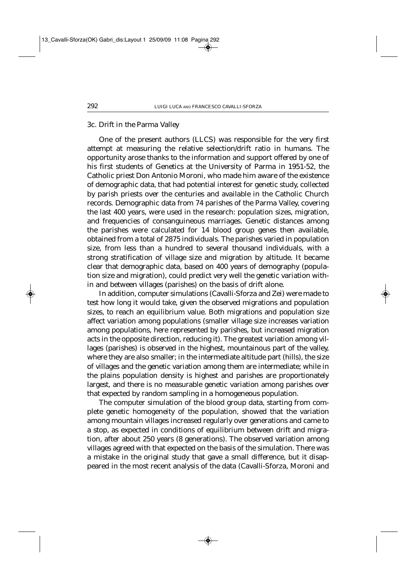### 3c*. Drift in the Parma Valley*

One of the present authors (LLCS) was responsible for the very first attempt at measuring the relative selection/drift ratio in humans. The opportunity arose thanks to the information and support offered by one of his first students of Genetics at the University of Parma in 1951-52, the Catholic priest Don Antonio Moroni, who made him aware of the existence of demographic data, that had potential interest for genetic study, collected by parish priests over the centuries and available in the Catholic Church records. Demographic data from 74 parishes of the Parma Valley, covering the last 400 years, were used in the research: population sizes, migration, and frequencies of consanguineous marriages. Genetic distances among the parishes were calculated for 14 blood group genes then available, obtained from a total of 2875 individuals. The parishes varied in population size, from less than a hundred to several thousand individuals, with a strong stratification of village size and migration by altitude. It became clear that demographic data, based on 400 years of demography (population size and migration), could predict very well the genetic variation within and between villages (parishes) on the basis of drift alone.

In addition, computer simulations (Cavalli-Sforza and Zei) were made to test how long it would take, given the observed migrations and population sizes, to reach an equilibrium value. Both migrations and population size affect variation among populations (smaller village size increases variation among populations, here represented by parishes, but increased migration acts in the opposite direction, reducing it). The greatest variation among villages (parishes) is observed in the highest, mountainous part of the valley, where they are also smaller; in the intermediate altitude part (hills), the size of villages and the genetic variation among them are intermediate; while in the plains population density is highest and parishes are proportionately largest, and there is no measurable genetic variation among parishes over that expected by random sampling in a homogeneous population.

The computer simulation of the blood group data, starting from complete genetic homogeneity of the population, showed that the variation among mountain villages increased regularly over generations and came to a stop, as expected in conditions of equilibrium between drift and migration, after about 250 years (8 generations). The observed variation among villages agreed with that expected on the basis of the simulation. There was a mistake in the original study that gave a small difference, but it disappeared in the most recent analysis of the data (Cavalli-Sforza, Moroni and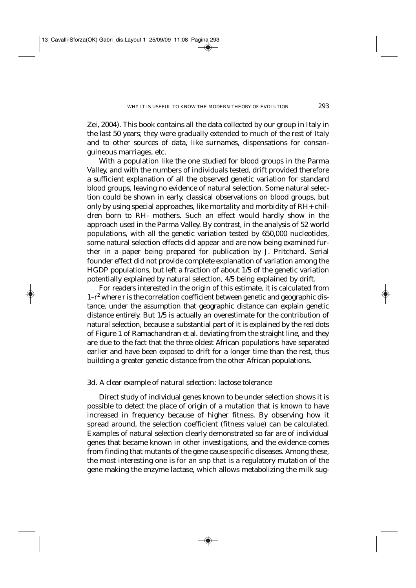Zei, 2004). This book contains all the data collected by our group in Italy in the last 50 years; they were gradually extended to much of the rest of Italy and to other sources of data, like surnames, dispensations for consanguineous marriages, etc.

With a population like the one studied for blood groups in the Parma Valley, and with the numbers of individuals tested, drift provided therefore a sufficient explanation of all the observed genetic variation for standard blood groups, leaving no evidence of natural selection. Some natural selection could be shown in early, classical observations on blood groups, but only by using special approaches, like mortality and morbidity of RH+ children born to RH- mothers. Such an effect would hardly show in the approach used in the Parma Valley. By contrast, in the analysis of 52 world populations, with all the genetic variation tested by 650,000 nucleotides, some natural selection effects did appear and are now being examined further in a paper being prepared for publication by J. Pritchard. Serial founder effect did not provide complete explanation of variation among the HGDP populations, but left a fraction of about 1/5 of the genetic variation potentially explained by natural selection, 4/5 being explained by drift.

For readers interested in the origin of this estimate, it is calculated from  $1-r^2$  where r is the correlation coefficient between genetic and geographic distance, under the assumption that geographic distance can explain genetic distance entirely. But 1/5 is actually an overestimate for the contribution of natural selection, because a substantial part of it is explained by the red dots of Figure 1 of Ramachandran *et al.* deviating from the straight line, and they are due to the fact that the three oldest African populations have separated earlier and have been exposed to drift for a longer time than the rest, thus building a greater genetic distance from the other African populations.

### 3d. *A clear example of natural selection: lactose tolerance*

Direct study of individual genes known to be under selection shows it is possible to detect the place of origin of a mutation that is known to have increased in frequency because of higher fitness. By observing how it spread around, the selection coefficient (fitness value) can be calculated. Examples of natural selection clearly demonstrated so far are of individual genes that became known in other investigations, and the evidence comes from finding that mutants of the gene cause specific diseases. Among these, the most interesting one is for an snp that is a regulatory mutation of the gene making the enzyme lactase, which allows metabolizing the milk sug-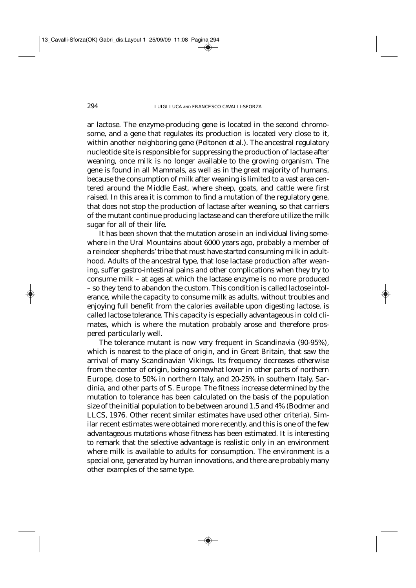ar lactose. The enzyme-producing gene is located in the second chromosome, and a gene that regulates its production is located very close to it, within another neighboring gene (Peltonen *et al.*). The ancestral regulatory nucleotide site is responsible for suppressing the production of lactase after weaning, once milk is no longer available to the growing organism. The gene is found in all Mammals, as well as in the great majority of humans, because the consumption of milk after weaning is limited to a vast area centered around the Middle East, where sheep, goats, and cattle were first raised. In this area it is common to find a mutation of the regulatory gene, that does not stop the production of lactase after weaning, so that carriers of the mutant continue producing lactase and can therefore utilize the milk sugar for all of their life.

It has been shown that the mutation arose in an individual living somewhere in the Ural Mountains about 6000 years ago, probably a member of a reindeer shepherds' tribe that must have started consuming milk in adulthood. Adults of the ancestral type, that lose lactase production after weaning, suffer gastro-intestinal pains and other complications when they try to consume milk – at ages at which the lactase enzyme is no more produced – so they tend to abandon the custom. This condition is called *lactose intolerance*, while the capacity to consume milk as adults, without troubles and enjoying full benefit from the calories available upon digesting lactose, is called lactose *tolerance*. This capacity is especially advantageous in cold climates, which is where the mutation probably arose and therefore prospered particularly well.

The tolerance mutant is now very frequent in Scandinavia (90-95%), which is nearest to the place of origin, and in Great Britain, that saw the arrival of many Scandinavian Vikings. Its frequency decreases otherwise from the center of origin, being somewhat lower in other parts of northern Europe, close to 50% in northern Italy, and 20-25% in southern Italy, Sardinia, and other parts of S. Europe. The fitness increase determined by the mutation to tolerance has been calculated on the basis of the population size of the initial population to be between around 1.5 and 4% (Bodmer and LLCS, 1976. Other recent similar estimates have used other criteria). Similar recent estimates were obtained more recently, and this is one of the few advantageous mutations whose fitness has been estimated. It is interesting to remark that the selective advantage is realistic only in an environment where milk is available to adults for consumption. The environment is a special one, generated by human innovations, and there are probably many other examples of the same type.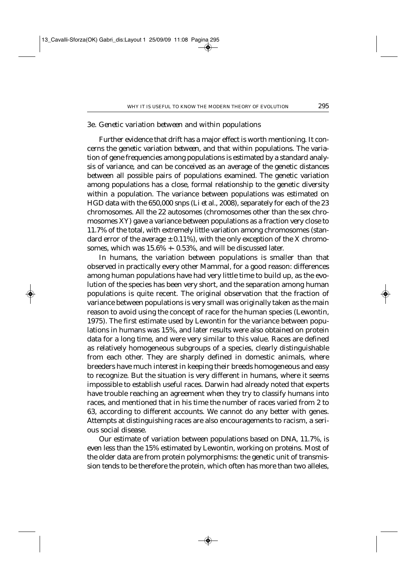#### 3e*. Genetic variation between and within populations*

Further evidence that drift has a major effect is worth mentioning. It concerns the genetic variation *between*, and that *within* populations. The variation of gene frequencies among populations is estimated by a standard analysis of variance, and can be conceived as an average of the genetic distances between all possible pairs of populations examined. The genetic variation among populations has a close, formal relationship to the genetic diversity within a population. The variance between populations was estimated on HGD data with the 650,000 snps (Li *et al.*, 2008), separately for each of the 23 chromosomes. All the 22 autosomes (chromosomes other than the sex chromosomes XY) gave a variance between populations as a fraction very close to 11.7% of the total, with extremely little variation among chromosomes (standard error of the average  $\pm$  0.11%), with the only exception of the X chromosomes, which was 15.6% +- 0.53%, and will be discussed later.

In humans, the variation between populations is smaller than that observed in practically every other Mammal, for a good reason: differences among human populations have had very little time to build up, as the evolution of the species has been very short, and the separation among human populations is quite recent. The original observation that the fraction of variance between populations is very small was originally taken as the main reason to avoid using the concept of race for the human species (Lewontin, 1975). The first estimate used by Lewontin for the variance between populations in humans was 15%, and later results were also obtained on protein data for a long time, and were very similar to this value. Races are defined as relatively homogeneous subgroups of a species, clearly distinguishable from each other. They are sharply defined in domestic animals, where breeders have much interest in keeping their breeds homogeneous and easy to recognize. But the situation is very different in humans, where it seems impossible to establish useful races. Darwin had already noted that experts have trouble reaching an agreement when they try to classify humans into races, and mentioned that in his time the number of races varied from 2 to 63, according to different accounts. We cannot do any better with genes. Attempts at distinguishing races are also encouragements to racism, a serious social disease.

Our estimate of variation between populations based on DNA, 11.7%, is even less than the 15% estimated by Lewontin, working on proteins. Most of the older data are from protein polymorphisms: the genetic unit of transmission tends to be therefore the protein, which often has more than two alleles,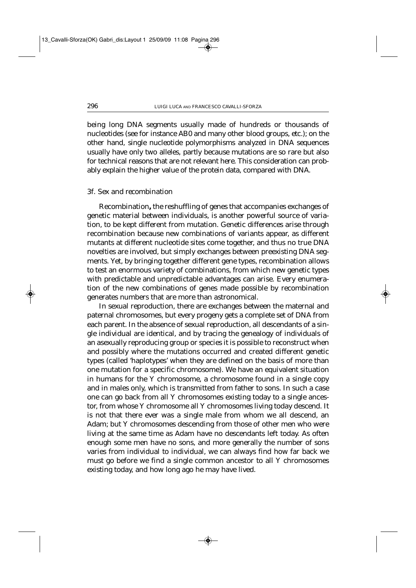being long DNA segments usually made of hundreds or thousands of nucleotides (see for instance AB0 and many other blood groups, etc.); on the other hand, single nucleotide polymorphisms analyzed in DNA sequences usually have only two alleles, partly because mutations are so rare but also for technical reasons that are not relevant here. This consideration can probably explain the higher value of the protein data, compared with DNA.

# 3f. *Sex and recombination*

Recombination**,** the reshuffling of genes that accompanies exchanges of genetic material between individuals, is another powerful source of variation, to be kept different from mutation. Genetic differences arise through recombination because new combinations of variants appear, as different mutants at different nucleotide sites come together, and thus no true DNA novelties are involved, but simply exchanges between preexisting DNA segments. Yet, by bringing together different gene types, recombination allows to test an enormous variety of combinations, from which new genetic types with predictable and unpredictable advantages can arise. Every enumeration of the new combinations of genes made possible by recombination generates numbers that are more than astronomical.

In sexual reproduction, there are exchanges between the maternal and paternal chromosomes, but every progeny gets a complete set of DNA from each parent. In the absence of sexual reproduction, all descendants of a single individual are identical, and by tracing the genealogy of individuals of an asexually reproducing group or species it is possible to reconstruct when and possibly where the mutations occurred and created different genetic types (called 'haplotypes' when they are defined on the basis of more than one mutation for a specific chromosome). We have an equivalent situation in humans for the Y chromosome, a chromosome found in a single copy and in males only, which is transmitted from father to sons. In such a case one can go back from all Y chromosomes existing today to a single ancestor, from whose Y chromosome all Y chromosomes living today descend. It is not that there ever was a single male from whom we all descend, an Adam; but Y chromosomes descending from those of other men who were living at the same time as Adam have no descendants left today. As often enough some men have no sons, and more generally the number of sons varies from individual to individual, we can always find how far back we must go before we find a single common ancestor to all Y chromosomes existing today, and how long ago he may have lived.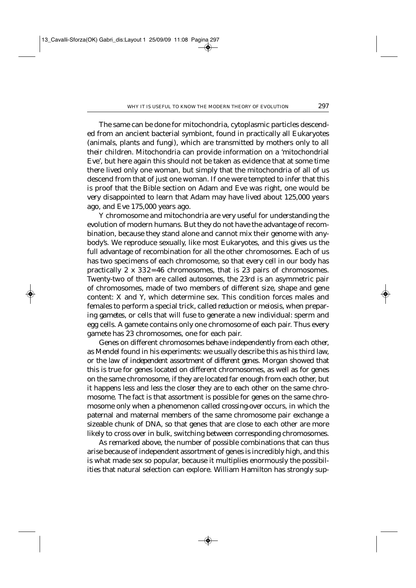The same can be done for mitochondria, cytoplasmic particles descended from an ancient bacterial symbiont, found in practically all Eukaryotes (animals, plants and fungi), which are transmitted by mothers only to all their children. Mitochondria can provide information on a 'mitochondrial Eve', but here again this should not be taken as evidence that at some time there lived only one woman, but simply that the mitochondria of all of us descend from that of just one woman. If one were tempted to infer that this is proof that the Bible section on Adam and Eve was right, one would be very disappointed to learn that Adam may have lived about 125,000 years ago, and Eve 175,000 years ago.

Y chromosome and mitochondria are very useful for understanding the evolution of modern humans. But they do not have the advantage of recombination, because they stand alone and cannot mix their genome with anybody's. We reproduce sexually, like most Eukaryotes, and this gives us the full advantage of recombination for all the other chromosomes. Each of us has two specimens of each chromosome, so that every cell in our body has practically 2 x 332= 46 chromosomes, that is 23 pairs of chromosomes. Twenty-two of them are called *autosomes*, the 23rd is an asymmetric pair of chromosomes, made of two members of different size, shape and gene content: X and Y, which determine sex. This condition forces males and females to perform a special trick, called *reduction* or *meiosis*, when preparing *gametes*, or cells that will fuse to generate a new individual: sperm and egg cells. A gamete contains only one chromosome of each pair. Thus every gamete has 23 chromosomes, one for each pair.

Genes on different chromosomes behave independently from each other, as Mendel found in his experiments: we usually describe this as his third law, or the *law of independent assortment of different genes*. Morgan showed that this is true for genes located on different chromosomes, as well as for genes on the same chromosome, if they are located far enough from each other, but it happens less and less the closer they are to each other on the same chromosome. The fact is that assortment is possible for genes on the same chromosome only when a phenomenon called *crossing-over* occurs, in which the paternal and maternal members of the same chromosome pair exchange a sizeable chunk of DNA, so that genes that are close to each other are more likely to cross over in bulk, switching between corresponding chromosomes.

As remarked above, the number of possible combinations that can thus arise because of independent assortment of genes is incredibly high, and this is what made sex so popular, because it multiplies enormously the possibilities that natural selection can explore. William Hamilton has strongly sup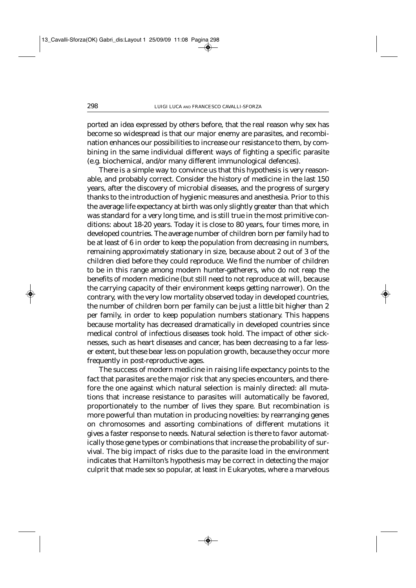ported an idea expressed by others before, that the real reason why sex has become so widespread is that our major enemy are parasites, and recombination enhances our possibilities to increase our resistance to them, by combining in the same individual different ways of fighting a specific parasite (e.g. biochemical, and/or many different immunological defences).

There is a simple way to convince us that this hypothesis is very reasonable, and probably correct. Consider the history of medicine in the last 150 years, after the discovery of microbial diseases, and the progress of surgery thanks to the introduction of hygienic measures and anesthesia. Prior to this the average life expectancy at birth was only slightly greater than that which was standard for a very long time, and is still true in the most primitive conditions: about 18-20 years. Today it is close to 80 years, four times more, in developed countries. The average number of children born per family had to be at least of 6 in order to keep the population from decreasing in numbers, remaining approximately stationary in size, because about 2 out of 3 of the children died before they could reproduce. We find the number of children to be in this range among modern hunter-gatherers, who do not reap the benefits of modern medicine (but still need to not reproduce at will, because the carrying capacity of their environment keeps getting narrower). On the contrary, with the very low mortality observed today in developed countries, the number of children born per family can be just a little bit higher than 2 per family, in order to keep population numbers stationary. This happens because mortality has decreased dramatically in developed countries since medical control of infectious diseases took hold. The impact of other sicknesses, such as heart diseases and cancer, has been decreasing to a far lesser extent, but these bear less on population growth, because they occur more frequently in post-reproductive ages.

The success of modern medicine in raising life expectancy points to the fact that parasites are the major risk that *any* species encounters, and therefore the one against which natural selection is mainly directed: all mutations that increase resistance to parasites will automatically be favored, proportionately to the number of lives they spare. But recombination is more powerful than mutation in producing novelties: by rearranging genes on chromosomes and assorting combinations of different mutations it gives a faster response to needs. Natural selection is there to favor automatically those gene types or combinations that increase the probability of survival. The big impact of risks due to the parasite load in the environment indicates that Hamilton's hypothesis may be correct in detecting the major culprit that made sex so popular, at least in Eukaryotes, where a marvelous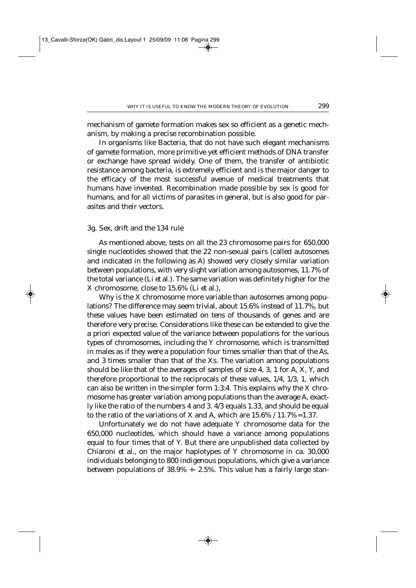mechanism of gamete formation makes sex so efficient as a genetic mechanism, by making a precise recombination possible.

In organisms like Bacteria, that do not have such elegant mechanisms of gamete formation, more primitive yet efficient methods of DNA transfer or exchange have spread widely. One of them, the transfer of antibiotic resistance among bacteria, is extremely efficient and is the major danger to the efficacy of the most successful avenue of medical treatments that humans have invented. Recombination made possible by sex is good for humans, and for all victims of parasites in general, but is also good for parasites and their vectors.

#### 3g. *Sex, drift and the 134 rule*

As mentioned above, tests on all the 23 chromosome pairs for 650,000 single nucleotides showed that the 22 non-sexual pairs (called autosomes and indicated in the following as A) showed very closely similar variation between populations, with very slight variation among autosomes, 11.7% of the total variance (Li *et al.*). The same variation was definitely higher for the X chromosome, close to 15.6% (Li *et al.*),

Why is the X chromosome more variable than autosomes among populations? The difference may seem trivial, about 15.6% instead of 11.7%, but these values have been estimated on tens of thousands of genes and are therefore very precise. Considerations like these can be extended to give the *a priori* expected value of the variance between populations for the various types of chromosomes, including the Y chromosome, which is transmitted in males as if they were a population four times smaller than that of the As, and 3 times smaller than that of the Xs. The variation among populations should be like that of the averages of samples of size 4, 3, 1 for A, X, Y, and therefore proportional to the reciprocals of these values, 1/4, 1/3, 1, which can also be written in the simpler form 1:3:4. This explains why the X chromosome has greater variation among populations than the average A, exactly like the ratio of the numbers 4 and 3. 4/3 equals 1.33, and should be equal to the ratio of the variations of X and A, which are  $15.6\%$  /  $11.7\% = 1.37$ .

Unfortunately we do not have adequate Y chromosome data for the 650,000 nucleotides, which should have a variance among populations equal to four times that of Y. But there are unpublished data collected by Chiaroni *et al.*, on the major haplotypes of Y chromosome in ca. 30,000 individuals belonging to 800 indigenous populations, which give a variance between populations of 38.9% +- 2.5%. This value has a fairly large stan-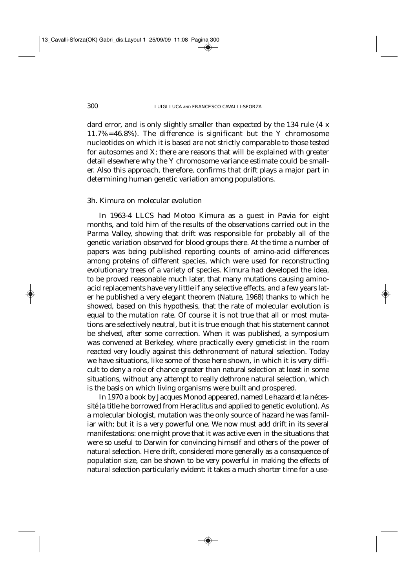dard error, and is only slightly smaller than expected by the 134 rule (4 x 11.7%=46.8%). The difference is significant but the Y chromosome nucleotides on which it is based are not strictly comparable to those tested for autosomes and X; there are reasons that will be explained with greater detail elsewhere why the Y chromosome variance estimate could be smaller. Also this approach, therefore, confirms that drift plays a major part in determining human genetic variation among populations.

# 3h. *Kimura on molecular evolution*

In 1963-4 LLCS had Motoo Kimura as a guest in Pavia for eight months, and told him of the results of the observations carried out in the Parma Valley, showing that drift was responsible for probably all of the genetic variation observed for blood groups there. At the time a number of papers was being published reporting counts of amino-acid differences among proteins of different species, which were used for reconstructing evolutionary trees of a variety of species. Kimura had developed the idea, to be proved reasonable much later, that many mutations causing aminoacid replacements have very little if any selective effects, and a few years later he published a very elegant theorem (*Nature*, 1968) thanks to which he showed, based on this hypothesis, that the rate of molecular evolution is equal to the mutation rate. Of course it is not true that all or most mutations are selectively neutral, but it is true enough that his statement cannot be shelved, after some correction. When it was published, a symposium was convened at Berkeley, where practically every geneticist in the room reacted very loudly against this dethronement of natural selection. Today we have situations, like some of those here shown, in which it is very difficult to deny a role of chance greater than natural selection at least in some situations, without any attempt to really dethrone natural selection, which is the basis on which living organisms were built and prospered.

In 1970 a book by Jacques Monod appeared, named *Le hazard et la nécessité* (a title he borrowed from Heraclitus and applied to genetic evolution). As a molecular biologist, mutation was the only source of hazard he was familiar with; but it is a very powerful one. We now must add drift in its several manifestations: one might prove that it was active even in the situations that were so useful to Darwin for convincing himself and others of the power of natural selection. Here drift, considered more generally as a consequence of population size, can be shown to be very powerful in making the effects of natural selection particularly evident: it takes a much shorter time for a use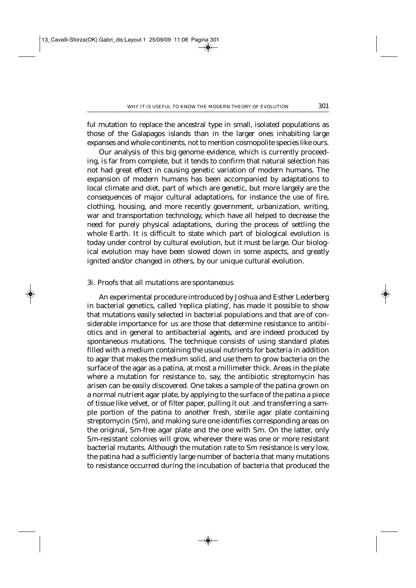ful mutation to replace the ancestral type in small, isolated populations as those of the Galapagos islands than in the larger ones inhabiting large expanses and whole continents, not to mention cosmopolite species like ours.

Our analysis of this big genome evidence, which is currently proceeding, is far from complete, but it tends to confirm that natural selection has not had great effect in causing genetic variation of modern humans. The expansion of modern humans has been accompanied by adaptations to local climate and diet, part of which are genetic, but more largely are the consequences of major cultural adaptations, for instance the use of fire, clothing, housing, and more recently government, urbanization, writing, war and transportation technology, which have all helped to decrease the need for purely physical adaptations, during the process of settling the whole Earth. It is difficult to state which part of biological evolution is today under control by cultural evolution, but it must be large. Our biological evolution may have been slowed down in some aspects, and greatly ignited and/or changed in others, by our unique cultural evolution.

### 3i*. Proofs that all mutations are spontaneous*

An experimental procedure introduced by Joshua and Esther Lederberg in bacterial genetics, called 'replica plating', has made it possible to show that mutations easily selected in bacterial populations and that are of considerable importance for us are those that determine resistance to antibiotics and in general to antibacterial agents, and are indeed produced by spontaneous mutations. The technique consists of using standard plates filled with a medium containing the usual nutrients for bacteria in addition to agar that makes the medium solid, and use them to grow bacteria on the surface of the agar as a patina, at most a millimeter thick. Areas in the plate where a mutation for resistance to, say, the antibiotic streptomycin has arisen can be easily discovered. One takes a sample of the patina grown on a normal nutrient agar plate, by applying to the surface of the patina a piece of tissue like velvet, or of filter paper, pulling it out .and transferring a sample portion of the patina to another fresh, sterile agar plate containing streptomycin (Sm), and making sure one identifies corresponding areas on the original, Sm-free agar plate and the one with Sm. On the latter, only Sm-resistant colonies will grow, wherever there was one or more resistant bacterial mutants. Although the mutation rate to Sm resistance is very low, the patina had a sufficiently large number of bacteria that many mutations to resistance occurred during the incubation of bacteria that produced the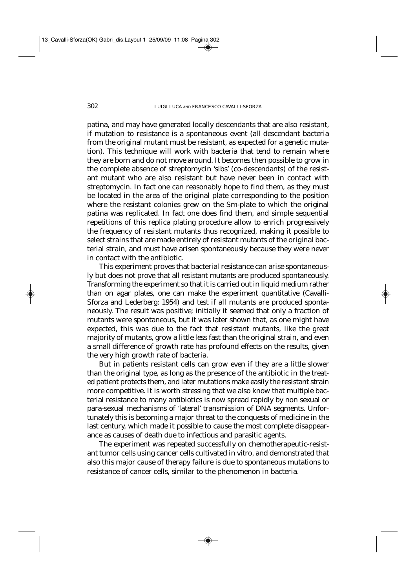patina, and may have generated locally descendants that are also resistant, if mutation to resistance is a spontaneous event (all descendant bacteria from the original mutant must be resistant, as expected for a genetic mutation). This technique will work with bacteria that tend to remain where they are born and do not move around. It becomes then possible to grow in the complete absence of streptomycin 'sibs' (co-descendants) of the resistant mutant who are also resistant but have never been in contact with streptomycin. In fact one can reasonably hope to find them, as they must be located in the area of the original plate corresponding to the position where the resistant colonies grew on the Sm-plate to which the original patina was replicated. In fact one does find them, and simple sequential repetitions of this replica plating procedure allow to enrich progressively the frequency of resistant mutants thus recognized, making it possible to select strains that are made entirely of resistant mutants of the original bacterial strain, and must have arisen spontaneously because they were never in contact with the antibiotic.

This experiment proves that bacterial resistance can arise spontaneously but does not prove that *all resistant mutants* are produced spontaneously. Transforming the experiment so that it is carried out in liquid medium rather than on agar plates, one can make the experiment quantitative (Cavalli-Sforza and Lederberg; 1954) and test if all mutants are produced spontaneously. The result was positive; initially it seemed that only a fraction of mutants were spontaneous, but it was later shown that, as one might have expected, this was due to the fact that resistant mutants, like the great majority of mutants, grow a little less fast than the original strain, and even a small difference of growth rate has profound effects on the results, given the very high growth rate of bacteria.

But in patients resistant cells can grow even if they are a little slower than the original type, as long as the presence of the antibiotic in the treated patient protects them, and later mutations make easily the resistant strain more competitive. It is worth stressing that we also know that multiple bacterial resistance to many antibiotics is now spread rapidly by non sexual or para-sexual mechanisms of 'lateral' transmission of DNA segments. Unfortunately this is becoming a major threat to the conquests of medicine in the last century, which made it possible to cause the most complete disappearance as causes of death due to infectious and parasitic agents.

The experiment was repeated successfully on chemotherapeutic-resistant tumor cells using cancer cells cultivated in vitro, and demonstrated that also this major cause of therapy failure is due to spontaneous mutations to resistance of cancer cells, similar to the phenomenon in bacteria.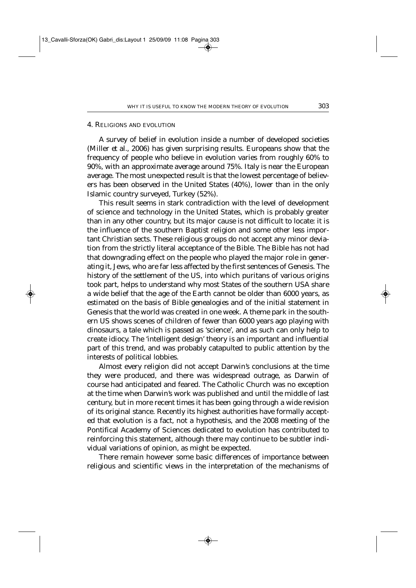# 4. RELIGIONS AND EVOLUTION

A survey of belief in evolution inside a number of developed societies (Miller *et al*., 2006) has given surprising results. Europeans show that the frequency of people who believe in evolution varies from roughly 60% to 90%, with an approximate average around 75%. Italy is near the European average. The most unexpected result is that the lowest percentage of believers has been observed in the United States (40%), lower than in the only Islamic country surveyed, Turkey (52%).

This result seems in stark contradiction with the level of development of science and technology in the United States, which is probably greater than in any other country, but its major cause is not difficult to locate: it is the influence of the southern Baptist religion and some other less important Christian sects. These religious groups do not accept any minor deviation from the strictly literal acceptance of the Bible. The Bible has not had that downgrading effect on the people who played the major role in generating it, Jews, who are far less affected by the first sentences of Genesis. The history of the settlement of the US, into which puritans of various origins took part, helps to understand why most States of the southern USA share a wide belief that the age of the Earth cannot be older than 6000 years, as estimated on the basis of Bible genealogies and of the initial statement in Genesis that the world was created in one week. A theme park in the southern US shows scenes of children of fewer than 6000 years ago playing with dinosaurs, a tale which is passed as 'science', and as such can only help to create idiocy. The 'intelligent design' theory is an important and influential part of this trend, and was probably catapulted to public attention by the interests of political lobbies.

Almost every religion did not accept Darwin's conclusions at the time they were produced, and there was widespread outrage, as Darwin of course had anticipated and feared. The Catholic Church was no exception at the time when Darwin's work was published and until the middle of last century, but in more recent times it has been going through a wide revision of its original stance. Recently its highest authorities have formally accepted that evolution is a fact, not a hypothesis, and the 2008 meeting of the Pontifical Academy of Sciences dedicated to evolution has contributed to reinforcing this statement, although there may continue to be subtler individual variations of opinion, as might be expected.

There remain however some basic differences of importance between religious and scientific views in the interpretation of the mechanisms of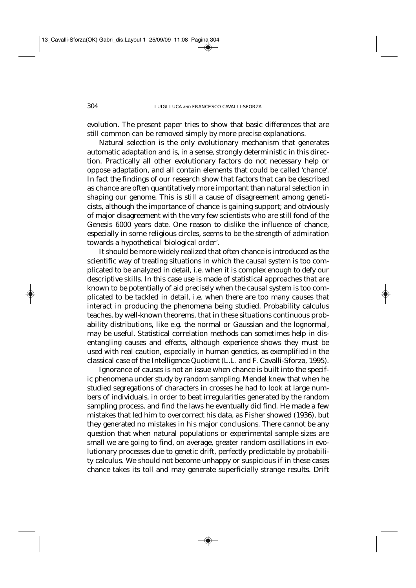evolution. The present paper tries to show that basic differences that are still common can be removed simply by more precise explanations.

Natural selection is the only evolutionary mechanism that generates automatic adaptation and is, in a sense, strongly deterministic in this direction. Practically all other evolutionary factors do not necessary help or oppose adaptation, and all contain elements that could be called 'chance'. In fact the findings of our research show that factors that can be described as chance are often quantitatively more important than natural selection in shaping our genome. This is still a cause of disagreement among geneticists, although the importance of chance is gaining support; and obviously of major disagreement with the very few scientists who are still fond of the Genesis 6000 years date. One reason to dislike the influence of chance, especially in some religious circles, seems to be the strength of admiration towards a hypothetical 'biological order'.

It should be more widely realized that often chance is introduced as the scientific way of treating situations in which the causal system is too complicated to be analyzed in detail, i.e. when it is complex enough to defy our descriptive skills. In this case use is made of statistical approaches that are known to be potentially of aid precisely when the causal system is too complicated to be tackled in detail, i.e. when there are too many causes that interact in producing the phenomena being studied. Probability calculus teaches, by well-known theorems, that in these situations continuous probability distributions, like e.g. the normal or Gaussian and the lognormal, may be useful. Statistical correlation methods can sometimes help in disentangling causes and effects, although experience shows they must be used with real caution, especially in human genetics, as exemplified in the classical case of the Intelligence Quotient (L.L. and F. Cavalli-Sforza, 1995).

Ignorance of causes is not an issue when chance is built into the specific phenomena under study by *random sampling*. Mendel knew that when he studied segregations of characters in crosses he had to look at large numbers of individuals, in order to beat irregularities generated by the random sampling process, and find the laws he eventually did find. He made a few mistakes that led him to overcorrect his data, as Fisher showed (1936), but they generated no mistakes in his major conclusions. There cannot be any question that when natural populations or experimental sample sizes are small we are going to find, on average, greater random oscillations in evolutionary processes due to genetic drift, perfectly predictable by probability calculus. We should not become unhappy or suspicious if in these cases chance takes its toll and may generate superficially strange results. Drift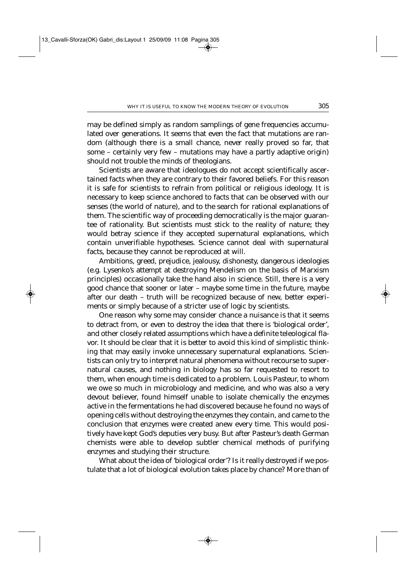may be defined simply as random samplings of gene frequencies accumulated over generations. It seems that even the fact that mutations are random (although there is a small chance, never really proved so far, that some – certainly very few – mutations may have a partly adaptive origin) should not trouble the minds of theologians.

Scientists are aware that ideologues do not accept scientifically ascertained facts when they are contrary to their favored beliefs. For this reason it is safe for scientists to refrain from political or religious ideology. It is necessary to keep science anchored to facts that can be observed with our senses (the world of nature), and to the search for rational explanations of them. The scientific way of proceeding democratically is the major guarantee of rationality. But scientists must stick to the reality of nature; they would betray science if they accepted supernatural explanations, which contain unverifiable hypotheses. Science cannot deal with supernatural facts, because they cannot be reproduced at will.

Ambitions, greed, prejudice, jealousy, dishonesty, dangerous ideologies (e.g. Lysenko's attempt at destroying Mendelism on the basis of Marxism principles) occasionally take the hand also in science. Still, there is a very good chance that sooner or later – maybe some time in the future, maybe after our death – truth will be recognized because of new, better experiments or simply because of a stricter use of logic by scientists.

One reason why some may consider chance a nuisance is that it seems to detract from, or even to destroy the idea that there is 'biological order', and other closely related assumptions which have a definite teleological flavor. It should be clear that it is better to avoid this kind of simplistic thinking that may easily invoke unnecessary supernatural explanations. Scientists can only try to interpret natural phenomena without recourse to supernatural causes, and nothing in biology has so far requested to resort to them, when enough time is dedicated to a problem. Louis Pasteur, to whom we owe so much in microbiology and medicine, and who was also a very devout believer, found himself unable to isolate chemically the enzymes active in the fermentations he had discovered because he found no ways of opening cells without destroying the enzymes they contain, and came to the conclusion that enzymes were created anew every time. This would positively have kept God's deputies very busy. But after Pasteur's death German chemists were able to develop subtler chemical methods of purifying enzymes and studying their structure.

What about the idea of 'biological order'? Is it really destroyed if we postulate that a lot of biological evolution takes place by chance? More than of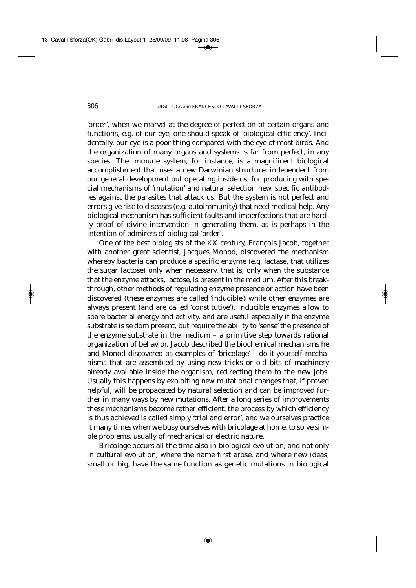'order', when we marvel at the degree of perfection of certain organs and functions, e.g. of our eye, one should speak of 'biological efficiency'. Incidentally, our eye is a poor thing compared with the eye of most birds. And the organization of many organs and systems is far from perfect, in any species. The immune system, for instance, is a magnificent biological accomplishment that uses a new Darwinian structure, independent from our general development but operating inside us, for producing with special mechanisms of 'mutation' and natural selection new, specific antibodies against the parasites that attack us. But the system is not perfect and errors give rise to diseases (e.g. autoimmunity) that need medical help. Any biological mechanism has sufficient faults and imperfections that are hardly proof of divine intervention in generating them, as is perhaps in the intention of admirers of biological 'order'.

One of the best biologists of the XX century, François Jacob, together with another great scientist, Jacques Monod, discovered the mechanism whereby bacteria can produce a specific enzyme (e.g. lactase, that utilizes the sugar lactose) only when necessary, that is, only when the substance that the enzyme attacks, lactose, is present in the medium. After this breakthrough, other methods of regulating enzyme presence or action have been discovered (these enzymes are called 'inducible') while other enzymes are always present (and are called 'constitutive'). Inducible enzymes allow to spare bacterial energy and activity, and are useful especially if the enzyme substrate is seldom present, but require the ability to 'sense' the presence of the enzyme substrate in the medium – a primitive step towards rational organization of behavior. Jacob described the biochemical mechanisms he and Monod discovered as examples of 'bricolage' – do-it-yourself mechanisms that are assembled by using new tricks or old bits of machinery already available inside the organism, redirecting them to the new jobs. Usually this happens by exploiting new mutational changes that, if proved helpful, will be propagated by natural selection and can be improved further in many ways by new mutations. After a long series of improvements these mechanisms become rather efficient: the process by which efficiency is thus achieved is called simply 'trial and error', and we ourselves practice it many times when we busy ourselves with bricolage at home, to solve simple problems, usually of mechanical or electric nature.

Bricolage occurs all the time also in biological evolution, and not only in cultural evolution, where the name first arose, and where new ideas, small or big, have the same function as genetic mutations in biological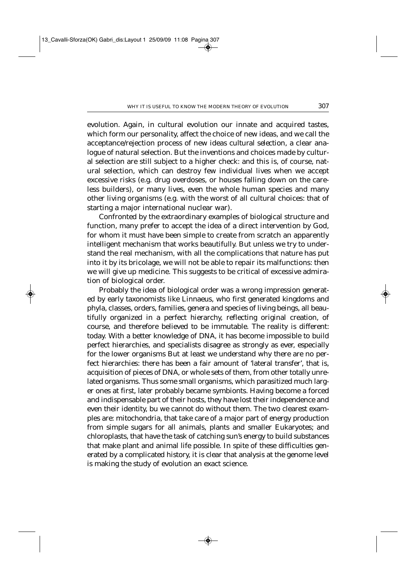evolution. Again, in cultural evolution our innate and acquired tastes, which form our personality, affect the choice of new ideas, and we call the acceptance/rejection process of new ideas *cultural selection*, a clear analogue of natural selection. But the inventions and choices made by cultural selection are still subject to a higher check: and this is, of course, natural selection, which can destroy few individual lives when we accept excessive risks (e.g. drug overdoses, or houses falling down on the careless builders), or many lives, even the whole human species and many other living organisms (e.g. with the worst of all cultural choices: that of starting a major international nuclear war).

Confronted by the extraordinary examples of biological structure and function, many prefer to accept the idea of a direct intervention by God, for whom it must have been simple to create from scratch an apparently intelligent mechanism that works beautifully. But unless we try to understand the real mechanism, with all the complications that nature has put into it by its bricolage, we will not be able to repair its malfunctions: then we will give up medicine. This suggests to be critical of excessive admiration of biological order.

Probably the idea of biological order was a wrong impression generated by early taxonomists like Linnaeus, who first generated kingdoms and phyla, classes, orders, families, genera and species of living beings, all beautifully organized in a perfect hierarchy, reflecting original creation, of course, and therefore believed to be immutable. The reality is different: today. With a better knowledge of DNA, it has become impossible to build perfect hierarchies, and specialists disagree as strongly as ever, especially for the lower organisms But at least we understand why there are no perfect hierarchies: there has been a fair amount of 'lateral transfer', that is, acquisition of pieces of DNA, or whole sets of them, from other totally unrelated organisms. Thus some small organisms, which parasitized much larger ones at first, later probably became symbionts. Having become a forced and indispensable part of their hosts, they have lost their independence and even their identity, bu we cannot do without them. The two clearest examples are: mitochondria, that take care of a major part of energy production from simple sugars for all animals, plants and smaller Eukaryotes; and chloroplasts, that have the task of catching sun's energy to build substances that make plant and animal life possible. In spite of these difficulties generated by a complicated history, it is clear that analysis at the genome level is making the study of evolution an exact science.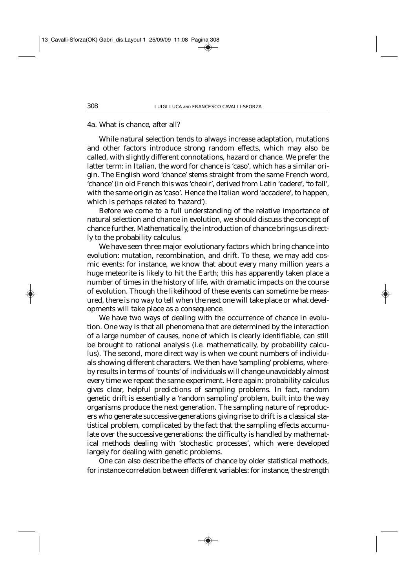#### 4a*. What is chance, after all?*

While natural selection tends to always increase adaptation, mutations and other factors introduce strong random effects, which may also be called, with slightly different connotations, hazard or chance. We prefer the latter term: in Italian, the word for chance is 'caso', which has a similar origin. The English word 'chance' stems straight from the same French word, 'chance' (in old French this was 'cheoir', derived from Latin 'cadere', 'to fall', with the same origin as 'caso'. Hence the Italian word 'accadere', to happen, which is perhaps related to 'hazard').

Before we come to a full understanding of the relative importance of natural selection and chance in evolution, we should discuss the concept of chance further. Mathematically, the introduction of chance brings us directly to the probability calculus.

We have seen three major evolutionary factors which bring chance into evolution: mutation, recombination, and drift. To these, we may add cosmic events: for instance, we know that about every many million years a huge meteorite is likely to hit the Earth; this has apparently taken place a number of times in the history of life, with dramatic impacts on the course of evolution. Though the likelihood of these events can sometime be measured, there is no way to tell when the next one will take place or what developments will take place as a consequence.

We have two ways of dealing with the occurrence of chance in evolution. One way is that all phenomena that are determined by the interaction of a large number of causes, none of which is clearly identifiable, can still be brought to rational analysis (i.e. mathematically, by probability calculus). The second, more direct way is when we count numbers of individuals showing different characters. We then have 'sampling' problems, whereby results in terms of 'counts' of individuals will change unavoidably almost every time we repeat the same experiment. Here again: probability calculus gives clear, helpful predictions of sampling problems. In fact, random genetic drift is essentially a 'random sampling' problem, built into the way organisms produce the next generation. The sampling nature of reproducers who generate successive generations giving rise to drift is a classical statistical problem, complicated by the fact that the sampling effects accumulate over the successive generations: the difficulty is handled by mathematical methods dealing with 'stochastic processes', which were developed largely for dealing with genetic problems.

One can also describe the effects of chance by older statistical methods, for instance correlation between different variables: for instance, the strength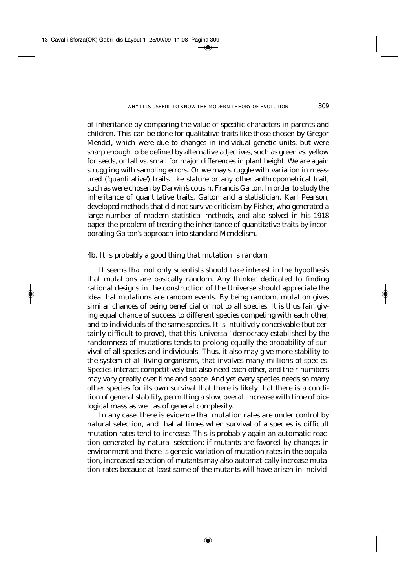of inheritance by comparing the value of specific characters in parents and children. This can be done for qualitative traits like those chosen by Gregor Mendel, which were due to changes in individual genetic units, but were sharp enough to be defined by alternative adjectives, such as green vs. yellow for seeds, or tall vs. small for major differences in plant height. We are again struggling with sampling errors. Or we may struggle with variation in measured ('quantitative') traits like stature or any other anthropometrical trait, such as were chosen by Darwin's cousin, Francis Galton. In order to study the inheritance of quantitative traits, Galton and a statistician, Karl Pearson, developed methods that did not survive criticism by Fisher, who generated a large number of modern statistical methods, and also solved in his 1918 paper the problem of treating the inheritance of quantitative traits by incorporating Galton's approach into standard Mendelism.

#### 4b*. It is probably a good thing that mutation is random*

It seems that not only scientists should take interest in the hypothesis that mutations are basically random. Any thinker dedicated to finding rational designs in the construction of the Universe should appreciate the idea that mutations are random events. By being random, mutation gives similar chances of being beneficial or not to all species. It is thus fair, giving equal chance of success to different species competing with each other, and to individuals of the same species. It is intuitively conceivable (but certainly difficult to prove), that this 'universal' democracy established by the randomness of mutations tends to prolong equally the probability of survival of all species and individuals. Thus, it also may give more stability to the system of all living organisms, that involves many millions of species. Species interact competitively but also need each other, and their numbers may vary greatly over time and space. And yet every species needs so many other species for its own survival that there is likely that there is a condition of general stability, permitting a slow, overall increase with time of biological mass as well as of general complexity.

In any case, there is evidence that mutation rates are under control by natural selection, and that at times when survival of a species is difficult mutation rates tend to increase. This is probably again an automatic reaction generated by natural selection: if mutants are favored by changes in environment and there is genetic variation of mutation rates in the population, increased selection of mutants may also automatically increase mutation rates because at least some of the mutants will have arisen in individ-